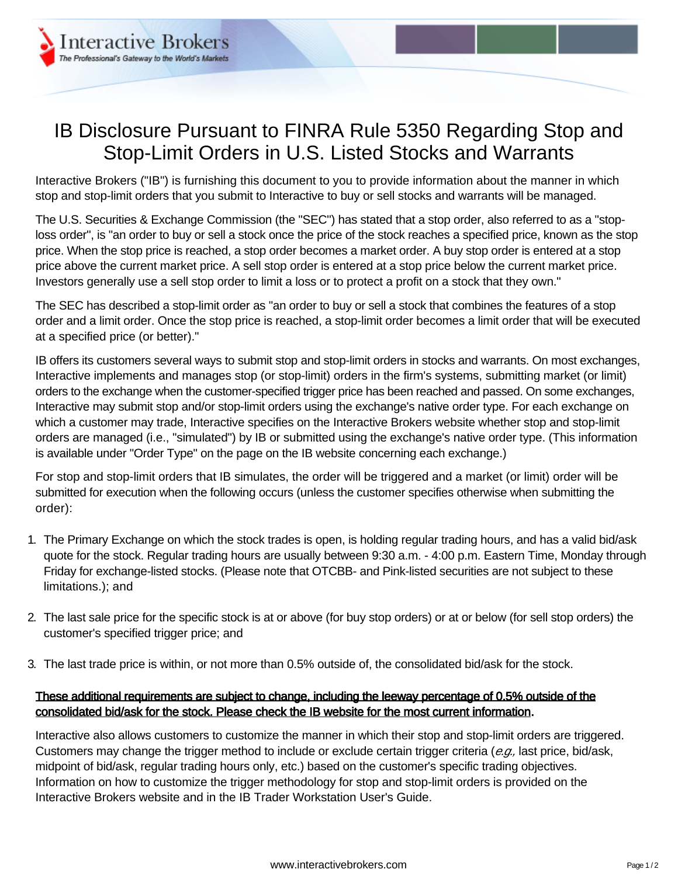

## IB Disclosure Pursuant to FINRA Rule 5350 Regarding Stop and Stop-Limit Orders in U.S. Listed Stocks and Warrants

Interactive Brokers ("IB") is furnishing this document to you to provide information about the manner in which stop and stop-limit orders that you submit to Interactive to buy or sell stocks and warrants will be managed.

The U.S. Securities & Exchange Commission (the "SEC") has stated that a stop order, also referred to as a "stoploss order", is "an order to buy or sell a stock once the price of the stock reaches a specified price, known as the stop price. When the stop price is reached, a stop order becomes a market order. A buy stop order is entered at a stop price above the current market price. A sell stop order is entered at a stop price below the current market price. Investors generally use a sell stop order to limit a loss or to protect a profit on a stock that they own."

The SEC has described a stop-limit order as "an order to buy or sell a stock that combines the features of a stop order and a limit order. Once the stop price is reached, a stop-limit order becomes a limit order that will be executed at a specified price (or better)."

IB offers its customers several ways to submit stop and stop-limit orders in stocks and warrants. On most exchanges, Interactive implements and manages stop (or stop-limit) orders in the firm's systems, submitting market (or limit) orders to the exchange when the customer-specified trigger price has been reached and passed. On some exchanges, Interactive may submit stop and/or stop-limit orders using the exchange's native order type. For each exchange on which a customer may trade, Interactive specifies on the Interactive Brokers website whether stop and stop-limit orders are managed (i.e., "simulated") by IB or submitted using the exchange's native order type. (This information is available under "Order Type" on the page on the IB website concerning each exchange.)

For stop and stop-limit orders that IB simulates, the order will be triggered and a market (or limit) order will be submitted for execution when the following occurs (unless the customer specifies otherwise when submitting the order):

- 1. The Primary Exchange on which the stock trades is open, is holding regular trading hours, and has a valid bid/ask quote for the stock. Regular trading hours are usually between 9:30 a.m. - 4:00 p.m. Eastern Time, Monday through Friday for exchange-listed stocks. (Please note that OTCBB- and Pink-listed securities are not subject to these limitations.); and
- 2. The last sale price for the specific stock is at or above (for buy stop orders) or at or below (for sell stop orders) the customer's specified trigger price; and
- 3. The last trade price is within, or not more than 0.5% outside of, the consolidated bid/ask for the stock.

## These additional requirements are subject to change, including the leeway percentage of 0.5% outside of the consolidated bid/ask for the stock. Please check the IB website for the most current information.

Interactive also allows customers to customize the manner in which their stop and stop-limit orders are triggered. Customers may change the trigger method to include or exclude certain trigger criteria (e.g., last price, bid/ask, midpoint of bid/ask, regular trading hours only, etc.) based on the customer's specific trading objectives. Information on how to customize the trigger methodology for stop and stop-limit orders is provided on the Interactive Brokers website and in the IB Trader Workstation User's Guide.